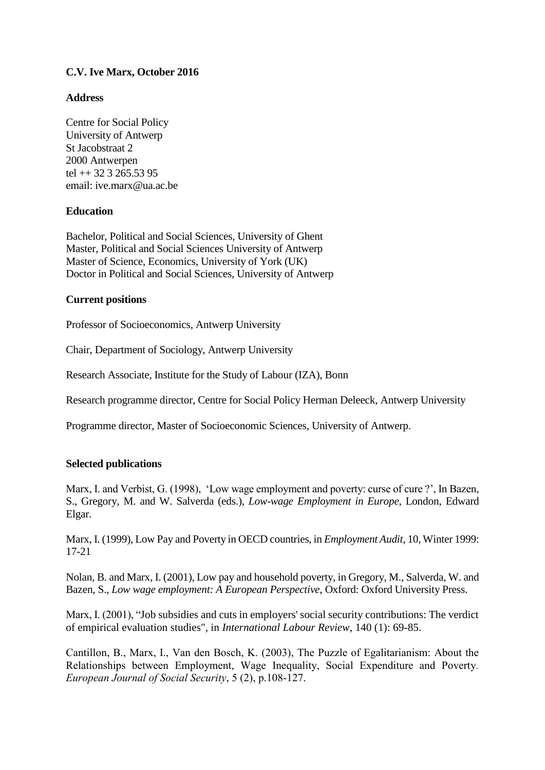# **C.V. Ive Marx, October 2016**

## **Address**

Centre for Social Policy University of Antwerp St Jacobstraat 2 2000 Antwerpen tel ++ 32 3 265.53 95 email: ive.marx@ua.ac.be

## **Education**

Bachelor, Political and Social Sciences, University of Ghent Master, Political and Social Sciences University of Antwerp Master of Science, Economics, University of York (UK) Doctor in Political and Social Sciences, University of Antwerp

## **Current positions**

Professor of Socioeconomics, Antwerp University

Chair, Department of Sociology, Antwerp University

Research Associate, Institute for the Study of Labour (IZA), Bonn

Research programme director, Centre for Social Policy Herman Deleeck, Antwerp University

Programme director, Master of Socioeconomic Sciences, University of Antwerp.

## **Selected publications**

Marx, I. and Verbist, G. (1998), 'Low wage employment and poverty: curse of cure ?', In Bazen, S., Gregory, M. and W. Salverda (eds.), *Low-wage Employment in Europe*, London, Edward Elgar.

Marx, I. (1999), Low Pay and Poverty in OECD countries, in *Employment Audit*, 10, Winter 1999: 17-21

Nolan, B. and Marx, I. (2001), Low pay and household poverty, in Gregory, M., Salverda, W. and Bazen, S., *Low wage employment: A European Perspective*, Oxford: Oxford University Press.

Marx, I. (2001), "Job subsidies and cuts in employers' social security contributions: The verdict of empirical evaluation studies", in *International Labour Review*, 140 (1): 69-85.

Cantillon, B., Marx, I., Van den Bosch, K. (2003), The Puzzle of Egalitarianism: About the Relationships between Employment, Wage Inequality, Social Expenditure and Poverty*. European Journal of Social Security*, 5 (2), p.108-127.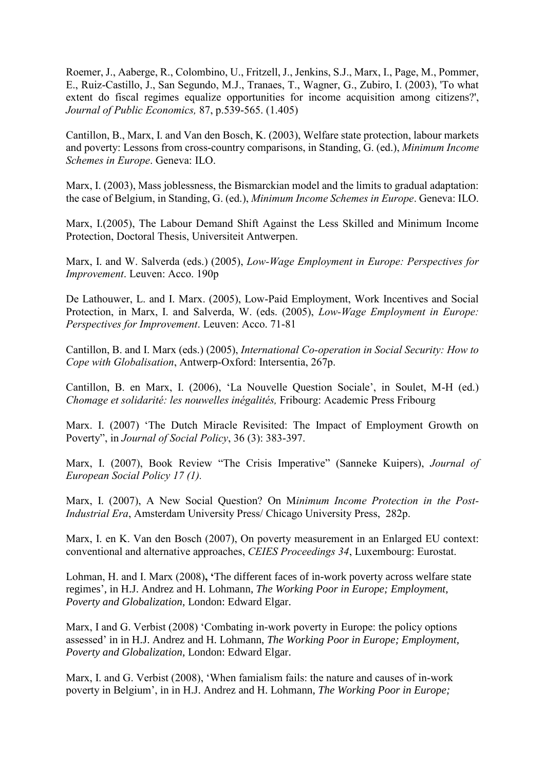Roemer, J., Aaberge, R., Colombino, U., Fritzell, J., Jenkins, S.J., Marx, I., Page, M., Pommer, E., Ruiz-Castillo, J., San Segundo, M.J., Tranaes, T., Wagner, G., Zubiro, I. (2003), 'To what extent do fiscal regimes equalize opportunities for income acquisition among citizens?', *Journal of Public Economics,* 87, p.539-565. (1.405)

Cantillon, B., Marx, I. and Van den Bosch, K. (2003), Welfare state protection, labour markets and poverty: Lessons from cross-country comparisons, in Standing, G. (ed.), *Minimum Income Schemes in Europe*. Geneva: ILO.

Marx, I. (2003), Mass joblessness, the Bismarckian model and the limits to gradual adaptation: the case of Belgium, in Standing, G. (ed.), *Minimum Income Schemes in Europe*. Geneva: ILO.

Marx, I.(2005), The Labour Demand Shift Against the Less Skilled and Minimum Income Protection, Doctoral Thesis, Universiteit Antwerpen.

Marx, I. and W. Salverda (eds.) (2005), *Low-Wage Employment in Europe: Perspectives for Improvement*. Leuven: Acco. 190p

De Lathouwer, L. and I. Marx. (2005), Low-Paid Employment, Work Incentives and Social Protection, in Marx, I. and Salverda, W. (eds. (2005), *Low-Wage Employment in Europe: Perspectives for Improvement*. Leuven: Acco. 71-81

Cantillon, B. and I. Marx (eds.) (2005), *International Co-operation in Social Security: How to Cope with Globalisation*, Antwerp-Oxford: Intersentia, 267p.

Cantillon, B. en Marx, I. (2006), 'La Nouvelle Question Sociale', in Soulet, M-H (ed.) *Chomage et solidarité: les nouwelles inégalités,* Fribourg: Academic Press Fribourg

Marx. I. (2007) 'The Dutch Miracle Revisited: The Impact of Employment Growth on Poverty", in *Journal of Social Policy*, 36 (3): 383-397.

Marx, I. (2007), Book Review "The Crisis Imperative" (Sanneke Kuipers), *Journal of European Social Policy 17 (1).*

Marx, I. (2007), A New Social Question? On M*inimum Income Protection in the Post-Industrial Era*, Amsterdam University Press/ Chicago University Press, 282p.

Marx, I. en K. Van den Bosch (2007), On poverty measurement in an Enlarged EU context: conventional and alternative approaches, *CEIES Proceedings 34*, Luxembourg: Eurostat.

Lohman, H. and I. Marx (2008)**, '**The different faces of in-work poverty across welfare state regimes', in H.J. Andrez and H. Lohmann, *The Working Poor in Europe; Employment, Poverty and Globalization*, London: Edward Elgar.

Marx, I and G. Verbist (2008) 'Combating in-work poverty in Europe: the policy options assessed' in in H.J. Andrez and H. Lohmann, *The Working Poor in Europe; Employment, Poverty and Globalization*, London: Edward Elgar.

Marx, I. and G. Verbist (2008), 'When famialism fails: the nature and causes of in-work poverty in Belgium', in in H.J. Andrez and H. Lohmann, *The Working Poor in Europe;*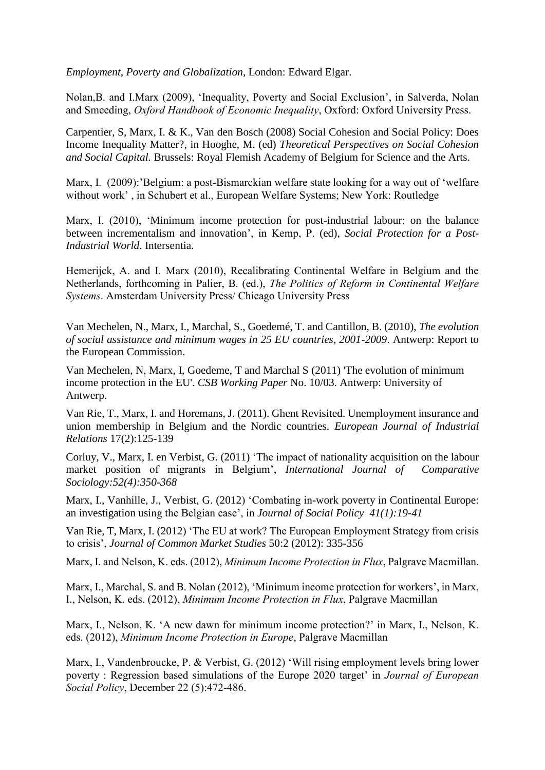*Employment, Poverty and Globalization*, London: Edward Elgar.

Nolan,B. and I.Marx (2009), 'Inequality, Poverty and Social Exclusion', in Salverda, Nolan and Smeeding, *Oxford Handbook of Economic Inequality*, Oxford: Oxford University Press.

Carpentier, S, Marx, I. & K., Van den Bosch (2008) Social Cohesion and Social Policy: Does Income Inequality Matter?, in Hooghe, M. (ed) *Theoretical Perspectives on Social Cohesion and Social Capital.* Brussels: Royal Flemish Academy of Belgium for Science and the Arts.

Marx, I. (2009): 'Belgium: a post-Bismarckian welfare state looking for a way out of 'welfare' without work' , in Schubert et al., European Welfare Systems; New York: Routledge

Marx, I. (2010), 'Minimum income protection for post-industrial labour: on the balance between incrementalism and innovation', in Kemp, P. (ed), *Social Protection for a Post-Industrial World*. Intersentia.

Hemerijck, A. and I. Marx (2010), Recalibrating Continental Welfare in Belgium and the Netherlands, forthcoming in Palier, B. (ed.), *The Politics of Reform in Continental Welfare Systems*. Amsterdam University Press/ Chicago University Press

Van Mechelen, N., Marx, I., Marchal, S., Goedemé, T. and Cantillon, B. (2010), *The evolution of social assistance and minimum wages in 25 EU countries, 2001-2009*. Antwerp: Report to the European Commission.

Van Mechelen, N, Marx, I, Goedeme, T and Marchal S (2011) 'The evolution of minimum income protection in the EU'. *CSB Working Paper* No. 10/03. Antwerp: University of Antwerp.

Van Rie, T., Marx, I. and Horemans, J. (2011). Ghent Revisited. Unemployment insurance and union membership in Belgium and the Nordic countries. *European Journal of Industrial Relations* 17(2):125-139

Corluy, V., Marx, I. en Verbist, G. (2011) 'The impact of nationality acquisition on the labour market position of migrants in Belgium', *International Journal of Comparative Sociology:52(4):350-368*

Marx, I., Vanhille, J., Verbist, G. (2012) 'Combating in-work poverty in Continental Europe: an investigation using the Belgian case', in *Journal of Social Policy 41(1):19-41*

Van Rie, T, Marx, I. (2012) 'The EU at work? The European Employment Strategy from crisis to crisis', *Journal of Common Market Studies* 50:2 (2012): 335-356

Marx, I. and Nelson, K. eds. (2012), *Minimum Income Protection in Flux*, Palgrave Macmillan.

Marx, I., Marchal, S. and B. Nolan (2012), 'Minimum income protection for workers', in Marx, I., Nelson, K. eds. (2012), *Minimum Income Protection in Flux*, Palgrave Macmillan

Marx, I., Nelson, K. 'A new dawn for minimum income protection?' in Marx, I., Nelson, K. eds. (2012), *Minimum Income Protection in Europe*, Palgrave Macmillan

Marx, I., Vandenbroucke, P. & Verbist, G. (2012) 'Will rising employment levels bring lower poverty : Regression based simulations of the Europe 2020 target' in *Journal of European Social Policy*, December 22 (5):472-486.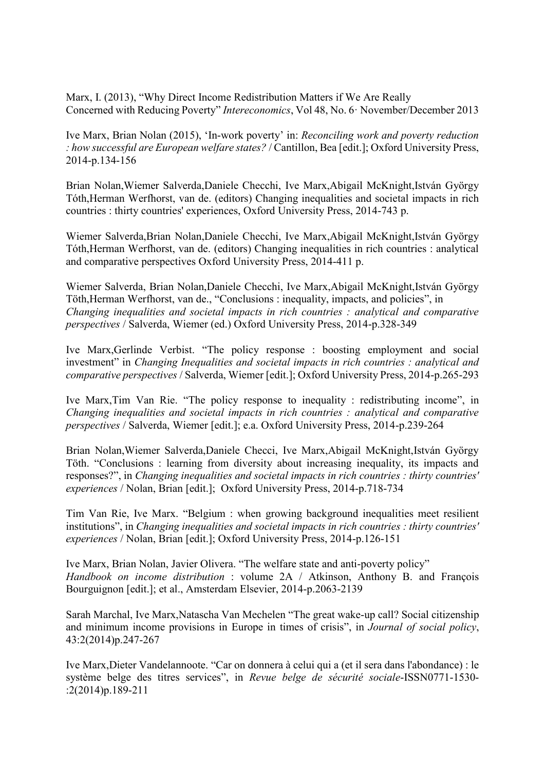Marx, I. (2013), "Why Direct Income Redistribution Matters if We Are Really Concerned with Reducing Poverty" *Intereconomics*, Vol 48, No. 6· November/December 2013

Ive Marx, Brian Nolan (2015), 'In-work poverty' in: *Reconciling work and poverty reduction : how successful are European welfare states?* / Cantillon, Bea [edit.]; Oxford University Press, 2014-p.134-156

Brian Nolan,Wiemer Salverda,Daniele Checchi, Ive Marx,Abigail McKnight,István György Tóth,Herman Werfhorst, van de. (editors) Changing inequalities and societal impacts in rich countries : thirty countries' experiences, Oxford University Press, 2014-743 p.

Wiemer Salverda,Brian Nolan,Daniele Checchi, Ive Marx,Abigail McKnight,István György Tóth,Herman Werfhorst, van de. (editors) Changing inequalities in rich countries : analytical and comparative perspectives Oxford University Press, 2014-411 p.

Wiemer Salverda, Brian Nolan,Daniele Checchi, Ive Marx,Abigail McKnight,István György Töth,Herman Werfhorst, van de., "Conclusions : inequality, impacts, and policies", in *Changing inequalities and societal impacts in rich countries : analytical and comparative perspectives* / Salverda, Wiemer (ed.) Oxford University Press, 2014-p.328-349

Ive Marx,Gerlinde Verbist. "The policy response : boosting employment and social investment" in *Changing Inequalities and societal impacts in rich countries : analytical and comparative perspectives* / Salverda, Wiemer [edit.]; Oxford University Press, 2014-p.265-293

Ive Marx,Tim Van Rie. "The policy response to inequality : redistributing income", in *Changing inequalities and societal impacts in rich countries : analytical and comparative perspectives* / Salverda, Wiemer [edit.]; e.a. Oxford University Press, 2014-p.239-264

Brian Nolan,Wiemer Salverda,Daniele Checci, Ive Marx,Abigail McKnight,István György Töth. "Conclusions : learning from diversity about increasing inequality, its impacts and responses?", in *Changing inequalities and societal impacts in rich countries : thirty countries' experiences* / Nolan, Brian [edit.]; Oxford University Press, 2014-p.718-734

Tim Van Rie, Ive Marx. "Belgium : when growing background inequalities meet resilient institutions", in *Changing inequalities and societal impacts in rich countries : thirty countries' experiences* / Nolan, Brian [edit.]; Oxford University Press, 2014-p.126-151

Ive Marx, Brian Nolan, Javier Olivera. "The welfare state and anti-poverty policy" *Handbook on income distribution* : volume 2A / Atkinson, Anthony B. and François Bourguignon [edit.]; et al., Amsterdam Elsevier, 2014-p.2063-2139

Sarah Marchal, Ive Marx,Natascha Van Mechelen "The great wake-up call? Social citizenship and minimum income provisions in Europe in times of crisis", in *Journal of social policy*, 43:2(2014)p.247-267

Ive Marx,Dieter Vandelannoote. "Car on donnera à celui qui a (et il sera dans l'abondance) : le système belge des titres services", in *Revue belge de sécurité sociale*-ISSN0771-1530- :2(2014)p.189-211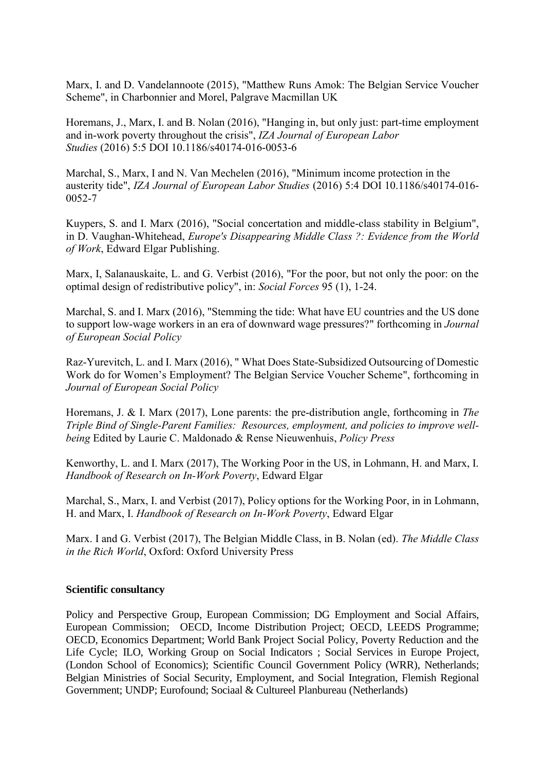Marx, I. and D. Vandelannoote (2015), "Matthew Runs Amok: The Belgian Service Voucher Scheme", in Charbonnier and Morel, Palgrave Macmillan UK

Horemans, J., Marx, I. and B. Nolan (2016), "Hanging in, but only just: part-time employment and in-work poverty throughout the crisis", *IZA Journal of European Labor Studies* (2016) 5:5 DOI 10.1186/s40174-016-0053-6

Marchal, S., Marx, I and N. Van Mechelen (2016), "Minimum income protection in the austerity tide", *IZA Journal of European Labor Studies* (2016) 5:4 DOI 10.1186/s40174-016- 0052-7

Kuypers, S. and I. Marx (2016), "Social concertation and middle-class stability in Belgium", in D. Vaughan-Whitehead, *Europe's Disappearing Middle Class ?: Evidence from the World of Work*, Edward Elgar Publishing.

Marx, I, Salanauskaite, L. and G. Verbist (2016), "For the poor, but not only the poor: on the optimal design of redistributive policy", in: *Social Forces* 95 (1), 1-24.

Marchal, S. and I. Marx (2016), "Stemming the tide: What have EU countries and the US done to support low-wage workers in an era of downward wage pressures?" forthcoming in *Journal of European Social Policy*

Raz-Yurevitch, L. and I. Marx (2016), " What Does State-Subsidized Outsourcing of Domestic Work do for Women's Employment? The Belgian Service Voucher Scheme", forthcoming in *Journal of European Social Policy*

Horemans, J. & I. Marx (2017), Lone parents: the pre-distribution angle, forthcoming in *The Triple Bind of Single-Parent Families: Resources, employment, and policies to improve wellbeing* Edited by Laurie C. Maldonado & Rense Nieuwenhuis, *Policy Press*

Kenworthy, L. and I. Marx (2017), The Working Poor in the US, in Lohmann, H. and Marx, I. *Handbook of Research on In-Work Poverty*, Edward Elgar

Marchal, S., Marx, I. and Verbist (2017), Policy options for the Working Poor, in in Lohmann, H. and Marx, I. *Handbook of Research on In-Work Poverty*, Edward Elgar

Marx. I and G. Verbist (2017), The Belgian Middle Class, in B. Nolan (ed). *The Middle Class in the Rich World*, Oxford: Oxford University Press

#### **Scientific consultancy**

Policy and Perspective Group, European Commission; DG Employment and Social Affairs, European Commission; OECD, Income Distribution Project; OECD, LEEDS Programme; OECD, Economics Department; World Bank Project Social Policy, Poverty Reduction and the Life Cycle; ILO, Working Group on Social Indicators ; Social Services in Europe Project, (London School of Economics); Scientific Council Government Policy (WRR), Netherlands; Belgian Ministries of Social Security, Employment, and Social Integration, Flemish Regional Government; UNDP; Eurofound; Sociaal & Cultureel Planbureau (Netherlands)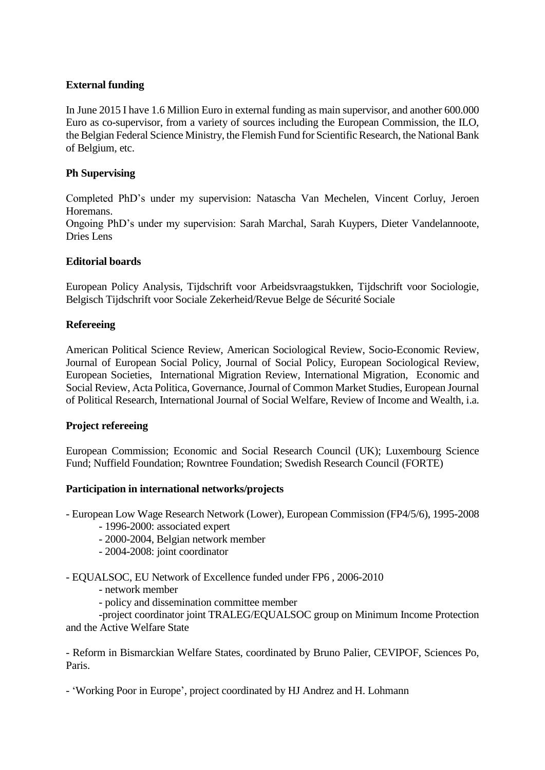## **External funding**

In June 2015 I have 1.6 Million Euro in external funding as main supervisor, and another 600.000 Euro as co-supervisor, from a variety of sources including the European Commission, the ILO, the Belgian Federal Science Ministry, the Flemish Fund for Scientific Research, the National Bank of Belgium, etc.

## **Ph Supervising**

Completed PhD's under my supervision: Natascha Van Mechelen, Vincent Corluy, Jeroen Horemans.

Ongoing PhD's under my supervision: Sarah Marchal, Sarah Kuypers, Dieter Vandelannoote, Dries Lens

## **Editorial boards**

European Policy Analysis, Tijdschrift voor Arbeidsvraagstukken, Tijdschrift voor Sociologie, Belgisch Tijdschrift voor Sociale Zekerheid/Revue Belge de Sécurité Sociale

## **Refereeing**

American Political Science Review, American Sociological Review, Socio-Economic Review, Journal of European Social Policy, Journal of Social Policy, European Sociological Review, European Societies, International Migration Review, International Migration, Economic and Social Review, Acta Politica, Governance, Journal of Common Market Studies, European Journal of Political Research, International Journal of Social Welfare, Review of Income and Wealth, i.a.

#### **Project refereeing**

European Commission; Economic and Social Research Council (UK); Luxembourg Science Fund; Nuffield Foundation; Rowntree Foundation; Swedish Research Council (FORTE)

#### **Participation in international networks/projects**

- European Low Wage Research Network (Lower), European Commission (FP4/5/6), 1995-2008

- 1996-2000: associated expert

- 2000-2004, Belgian network member

- 2004-2008: joint coordinator

- EQUALSOC, EU Network of Excellence funded under FP6 , 2006-2010

- network member

- policy and dissemination committee member

-project coordinator joint TRALEG/EQUALSOC group on Minimum Income Protection and the Active Welfare State

- Reform in Bismarckian Welfare States, coordinated by Bruno Palier, CEVIPOF, Sciences Po, Paris.

- 'Working Poor in Europe', project coordinated by HJ Andrez and H. Lohmann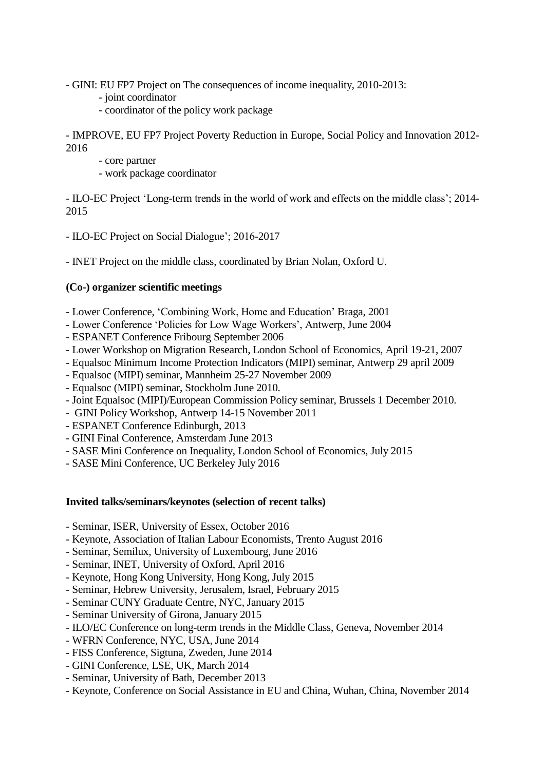- GINI: EU FP7 Project on The consequences of income inequality, 2010-2013:

- joint coordinator
- coordinator of the policy work package

- IMPROVE, EU FP7 Project Poverty Reduction in Europe, Social Policy and Innovation 2012- 2016

- core partner
- work package coordinator

- ILO-EC Project 'Long-term trends in the world of work and effects on the middle class'; 2014- 2015

- ILO-EC Project on Social Dialogue'; 2016-2017

- INET Project on the middle class, coordinated by Brian Nolan, Oxford U.

## **(Co-) organizer scientific meetings**

- Lower Conference, 'Combining Work, Home and Education' Braga, 2001
- Lower Conference 'Policies for Low Wage Workers', Antwerp, June 2004
- ESPANET Conference Fribourg September 2006
- Lower Workshop on Migration Research, London School of Economics, April 19-21, 2007
- Equalsoc Minimum Income Protection Indicators (MIPI) seminar, Antwerp 29 april 2009
- Equalsoc (MIPI) seminar, Mannheim 25-27 November 2009
- Equalsoc (MIPI) seminar, Stockholm June 2010.
- Joint Equalsoc (MIPI)/European Commission Policy seminar, Brussels 1 December 2010.
- GINI Policy Workshop, Antwerp 14-15 November 2011
- ESPANET Conference Edinburgh, 2013
- GINI Final Conference, Amsterdam June 2013
- SASE Mini Conference on Inequality, London School of Economics, July 2015
- SASE Mini Conference, UC Berkeley July 2016

#### **Invited talks/seminars/keynotes (selection of recent talks)**

- Seminar, ISER, University of Essex, October 2016
- Keynote, Association of Italian Labour Economists, Trento August 2016
- Seminar, Semilux, University of Luxembourg, June 2016
- Seminar, INET, University of Oxford, April 2016
- Keynote, Hong Kong University, Hong Kong, July 2015
- Seminar, Hebrew University, Jerusalem, Israel, February 2015
- Seminar CUNY Graduate Centre, NYC, January 2015
- Seminar University of Girona, January 2015
- ILO/EC Conference on long-term trends in the Middle Class, Geneva, November 2014
- WFRN Conference, NYC, USA, June 2014
- FISS Conference, Sigtuna, Zweden, June 2014
- GINI Conference, LSE, UK, March 2014
- Seminar, University of Bath, December 2013
- Keynote, Conference on Social Assistance in EU and China, Wuhan, China, November 2014